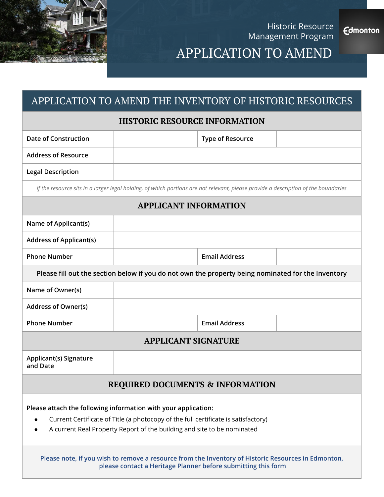

Historic Resource Management Program

**Edmonton** 

# APPLICATION TO AMEND

### APPLICATION TO AMEND THE INVENTORY OF HISTORIC RESOURCES

#### **HISTORIC RESOURCE INFORMATION**

| <b>Date of Construction</b>                                                                                                                                                                                                     |  | <b>Type of Resource</b> |  |  |
|---------------------------------------------------------------------------------------------------------------------------------------------------------------------------------------------------------------------------------|--|-------------------------|--|--|
| <b>Address of Resource</b>                                                                                                                                                                                                      |  |                         |  |  |
| <b>Legal Description</b>                                                                                                                                                                                                        |  |                         |  |  |
| If the resource sits in a larger legal holding, of which portions are not relevant, please provide a description of the boundaries                                                                                              |  |                         |  |  |
| <b>APPLICANT INFORMATION</b>                                                                                                                                                                                                    |  |                         |  |  |
| Name of Applicant(s)                                                                                                                                                                                                            |  |                         |  |  |
| <b>Address of Applicant(s)</b>                                                                                                                                                                                                  |  |                         |  |  |
| <b>Phone Number</b>                                                                                                                                                                                                             |  | <b>Email Address</b>    |  |  |
| Please fill out the section below if you do not own the property being nominated for the Inventory                                                                                                                              |  |                         |  |  |
| Name of Owner(s)                                                                                                                                                                                                                |  |                         |  |  |
| <b>Address of Owner(s)</b>                                                                                                                                                                                                      |  |                         |  |  |
| <b>Phone Number</b>                                                                                                                                                                                                             |  | <b>Email Address</b>    |  |  |
| <b>APPLICANT SIGNATURE</b>                                                                                                                                                                                                      |  |                         |  |  |
| Applicant(s) Signature<br>and Date                                                                                                                                                                                              |  |                         |  |  |
| <b>REQUIRED DOCUMENTS &amp; INFORMATION</b>                                                                                                                                                                                     |  |                         |  |  |
| Please attach the following information with your application:<br>Current Certificate of Title (a photocopy of the full certificate is satisfactory)<br>A current Real Property Report of the building and site to be nominated |  |                         |  |  |
| Please note, if you wish to remove a resource from the Inventory of Historic Resources in Edmonton,<br>please contact a Heritage Planner before submitting this form                                                            |  |                         |  |  |